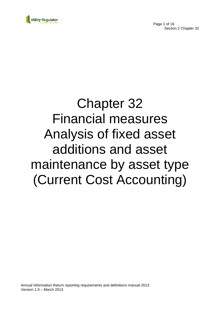



# Chapter 32 Financial measures Analysis of fixed asset additions and asset maintenance by asset type (Current Cost Accounting)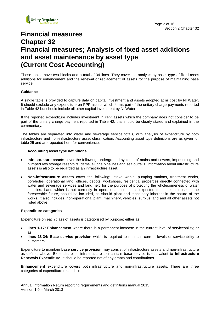

# **Financial measures Chapter 32 Financial measures; Analysis of fixed asset additions and asset maintenance by asset type (Current Cost Accounting)**

These tables have two blocks and a total of 34 lines. They cover the analysis by asset type of fixed asset additions for enhancement and the renewal or replacement of assets for the purpose of maintaining base service.

#### **Guidance**

A single table is provided to capture data on capital investment and assets adopted at nil cost by NI Water. It should exclude any expenditure on PPP assets which forms part of the unitary charge payments reported in Table 42 but should include all other capital investment by NI Water.

If the reported expenditure includes investment in PPP assets which the company does not consider to be part of the unitary charge payment reported in Table 42, this should be clearly stated and explained in the commentary.

The tables are separated into water and sewerage service totals, with analysis of expenditure by both infrastructure and non-infrastructure asset classification. Accounting asset type definitions are as given for table 25 and are repeated here for convenience:

#### **Accounting asset type definitions**

- **Infrastructure assets** cover the following: underground systems of mains and sewers, impounding and pumped raw storage reservoirs, dams, sludge pipelines and sea outfalls. Information about infrastructure assets is also to be regarded as an infrastructure asset.
- **Non-infrastructure assets** cover the following: intake works, pumping stations, treatment works, boreholes, operational land, offices, depots, workshops, residential properties directly connected with water and sewerage services and land held for the purpose of protecting the wholesomeness of water supplies. Land which is not currently in operational use but is expected to come into use in the foreseeable future, should be included, as should plant and machinery inherent in the nature of the works. It also includes, non-operational plant, machinery, vehicles, surplus land and all other assets not listed above

#### **Expenditure categories**

Expenditure on each class of assets is categorised by purpose; either as

- **lines 1-17: Enhancement** where there is a permanent increase in the current level of serviceability; or as
- **lines 18-34: Base service provision** which is required to maintain current levels of serviceability to customers.

Expenditure to maintain **base service provision** may consist of infrastructure assets and non-infrastructure as defined above. Expenditure on infrastructure to maintain base service is equivalent to **Infrastructure Renewals Expenditure**. It should be reported net of any grants and contributions.

**Enhancement** expenditure covers both infrastructure and non-infrastructure assets. There are three categories of expenditure related to:

Annual Information Return reporting requirements and definitions manual 2013 Version 1.0 – March 2013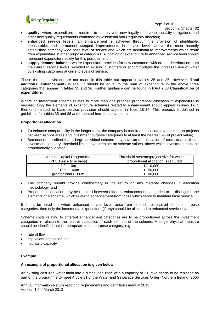

Page 3 of 16

Section 2 Chapter 32

- **quality:** where expenditure is required to comply with new legally enforceable quality obligations and other new quality requirements confirmed by Ministerial and Regulatory direction;
- **enhanced service levels**: an enhancement is achieved through the provision of identifiable, measurable, and permanent stepped improvements in service levels above the most recently established company-wide base level of service and which are additional to improvements which result from expenditure in other purpose categories. Allocation of expenditure to enhanced service level should represent expenditure solely for this purpose; and
- **supply/demand balance:** where expenditure provides for new customers with no net deterioration from the current service levels provided to existing customers or accommodates the increased use of water by existing customers at current levels of service.

These three subdivisions are not made in this table but appear in tables 35 and 36. However, **Total additions (enhancement)** in line 17 should be equal to the sum of expenditure in the above three categories that appear in tables 35 and 36. Further guidance can be found in RAG 2.03 **Classification of expenditure**.

Where an investment scheme relates to more than one purpose proportional allocation of expenditure is required. Only the elements of expenditure schemes related to enhancement should appear in lines 1-17. Elements related to base service provision should appear in lines 18-34. This process is defined in guidelines for tables 35 and 36 and repeated here for convenience.

## **Proportional allocation**

- To enhance comparability in the longer term, the company is required to allocate expenditure on projects between service areas and investment purpose categories to at least the nearest 5% of project value;
- Because of the effect that a large individual scheme may have on the allocation of costs to a particular investment category, threshold limits have been set on scheme values, above which investment must be proportionally allocated.

| Annual Capital Programme | Threshold scheme/project size for which |
|--------------------------|-----------------------------------------|
| (PC10 price time base)   | proportional allocation is required     |
| $£ 0 - 10m$              | £ $10,000$                              |
| £10m - 100m              | £ 50,000                                |
| greater than £100m       | £100,000                                |

- The company should provide commentary in the return on any material changes in allocation methodology; and
- Proportional allocation may be required between different enhancement categories or to distinguish the elements of a scheme, which relate to enhancement from those which serve to maintain base service.

It should be noted that where enhanced service levels arise from expenditure required for other purpose categories, then only the incremental expenditure (if any) should be allocated to enhanced service level.

Scheme costs relating to different enhancement categories are to be proportioned across the investment categories in relation to the relative capacities of each element of the scheme. A single physical measure should be identified that is appropriate to the purpose category, e.g.

- rate of flow
- equivalent population; or
- hydraulic capacity

## **Example**

#### **An example of proportional allocation is given below**

An existing cast iron water main into a distribution zone with a capacity of 2.8 Ml/d needs to be replaced as part of the programme to meet Article 31 of the Water and Sewerage Services Order (Northern Ireland) 2006

Annual Information Return reporting requirements and definitions manual 2013 Version 1.0 – March 2013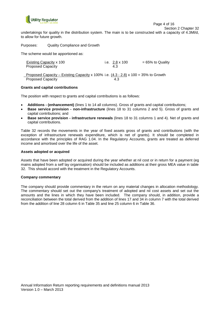

Section 2 Chapter 32

undertakings for quality in the distribution system. The main is to be constructed with a capacity of 4.3Ml/d, to allow for future growth.

Purposes: Quality Compliance and Growth

The scheme would be apportioned as:

| Existing Capacity x 100                                                               | i.e. $2.8 \times 100$ | $= 65\%$ to Quality |
|---------------------------------------------------------------------------------------|-----------------------|---------------------|
| <b>Proposed Capacity</b>                                                              | 4.3                   |                     |
|                                                                                       |                       |                     |
| Proposed Capacity – Existing Capacity x 100% i.e. $(4.3 - 2.8)$ x 100 = 35% to Growth |                       |                     |
| <b>Proposed Capacity</b>                                                              | 4.3                   |                     |

#### **Grants and capital contributions**

The position with respect to grants and capital contributions is as follows:

- **Additions - (enhancement)** (lines 1 to 14 all columns). Gross of grants and capital contributions;
- **Base service provision - non-infrastructure** (lines 18 to 31 columns 2 and 5). Gross of grants and capital contributions; and
- **Base service provision - infrastructure renewals** (lines 18 to 31 columns 1 and 4). Net of grants and capital contributions.

Table 32 records the movements in the year of fixed assets gross of grants and contributions (with the exception of infrastructure renewals expenditure, which is net of grants). It should be completed in accordance with the principles of RAG 1.04. In the Regulatory Accounts, grants are treated as deferred income and amortised over the life of the asset.

#### **Assets adopted or acquired**

Assets that have been adopted or acquired during the year whether at nil cost or in return for a payment (eg mains adopted from a self lay organisation) should be included as additions at their gross MEA value in table 32. This should accord with the treatment in the Regulatory Accounts.

#### **Company commentary**

The company should provide commentary in the return on any material changes in allocation methodology. The commentary should set out the company's treatment of adopted and nil cost assets and set out the amounts and the lines in which they have been included. The company should, in addition, provide a reconciliation between the total derived from the addition of lines 17 and 34 in column 7 with the total derived from the addition of line 28 column 6 in Table 35 and line 25 column 6 in Table 36.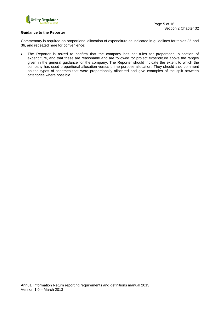

#### **Guidance to the Reporter**

Commentary is required on proportional allocation of expenditure as indicated in guidelines for tables 35 and 36, and repeated here for convenience:

 The Reporter is asked to confirm that the company has set rules for proportional allocation of expenditure, and that these are reasonable and are followed for project expenditure above the ranges given in the general guidance for the company. The Reporter should indicate the extent to which the company has used proportional allocation versus prime purpose allocation. They should also comment on the types of schemes that were proportionally allocated and give examples of the split between categories where possible.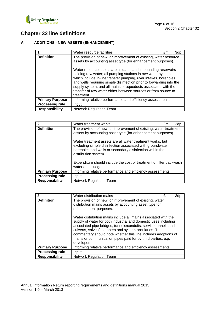

# **Chapter 32 line definitions**

## **A ADDITIONS - NEW ASSETS (ENHANCEMENT)**

|                        | Water resource facilities                                                                                                                                                                                                                                                                                                                                                                                                                                                                                                                                    | £m | 3dp |
|------------------------|--------------------------------------------------------------------------------------------------------------------------------------------------------------------------------------------------------------------------------------------------------------------------------------------------------------------------------------------------------------------------------------------------------------------------------------------------------------------------------------------------------------------------------------------------------------|----|-----|
| <b>Definition</b>      | The provision of new, or improvement of existing, water resource<br>assets by accounting asset type (for enhancement purposes).<br>Water resource assets are all dams and impounding reservoirs<br>holding raw water; all pumping stations in raw water systems<br>which include in-line transfer pumping, river intakes, boreholes<br>and wells requiring simple disinfection prior to forwarding into the<br>supply system; and all mains or aqueducts associated with the<br>transfer of raw water either between sources or from source to<br>treatment. |    |     |
| <b>Primary Purpose</b> | Informing relative performance and efficiency assessments.                                                                                                                                                                                                                                                                                                                                                                                                                                                                                                   |    |     |
| <b>Processing rule</b> | Input                                                                                                                                                                                                                                                                                                                                                                                                                                                                                                                                                        |    |     |
| <b>Responsibility</b>  | <b>Network Regulation Team</b>                                                                                                                                                                                                                                                                                                                                                                                                                                                                                                                               |    |     |

| $\mathbf{2}$           | Water treatment works                                                                                                                                                                                                                                                                                                                          | £m | 3dp |
|------------------------|------------------------------------------------------------------------------------------------------------------------------------------------------------------------------------------------------------------------------------------------------------------------------------------------------------------------------------------------|----|-----|
| <b>Definition</b>      | The provision of new, or improvement of existing, water treatment<br>assets by accounting asset type (for enhancement purposes).<br>Water treatment assets are all water treatment works, but<br>excluding simple disinfection associated with groundwater<br>boreholes and wells or secondary disinfection within the<br>distribution system. |    |     |
|                        | Expenditure should include the cost of treatment of filter backwash<br>water and sludge.                                                                                                                                                                                                                                                       |    |     |
| <b>Primary Purpose</b> | Informing relative performance and efficiency assessments.                                                                                                                                                                                                                                                                                     |    |     |
| <b>Processing rule</b> | Input                                                                                                                                                                                                                                                                                                                                          |    |     |
| <b>Responsibility</b>  | <b>Network Regulation Team</b>                                                                                                                                                                                                                                                                                                                 |    |     |

| 3                      | Water distribution mains                                                                                                                                                                                                                                                                                                                          | £m | 3dp |
|------------------------|---------------------------------------------------------------------------------------------------------------------------------------------------------------------------------------------------------------------------------------------------------------------------------------------------------------------------------------------------|----|-----|
| <b>Definition</b>      | The provision of new, or improvement of existing, water<br>distribution mains assets by accounting asset type for<br>enhancement purposes.<br>Water distribution mains include all mains associated with the<br>supply of water for both industrial and domestic uses including<br>associated pipe bridges, tunnels/conduits, service tunnels and |    |     |
|                        | culverts, valves/chambers and system ancillaries. The<br>commentary should note whether this line includes adoptions of<br>mains or communication pipes paid for by third parties, e.g.<br>developers.                                                                                                                                            |    |     |
| <b>Primary Purpose</b> | Informing relative performance and efficiency assessments.                                                                                                                                                                                                                                                                                        |    |     |
| <b>Processing rule</b> | Input                                                                                                                                                                                                                                                                                                                                             |    |     |
| <b>Responsibility</b>  | <b>Network Regulation Team</b>                                                                                                                                                                                                                                                                                                                    |    |     |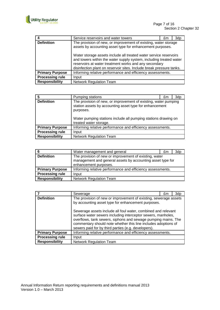

| 4                      | Service reservoirs and water towers                                                                                                                                                                                                                                                                                                                                                                      | £m | 3dp |
|------------------------|----------------------------------------------------------------------------------------------------------------------------------------------------------------------------------------------------------------------------------------------------------------------------------------------------------------------------------------------------------------------------------------------------------|----|-----|
| <b>Definition</b>      | The provision of new, or improvement of existing, water storage<br>assets by accounting asset type for enhancement purposes.<br>Water storage assets include all treated water service reservoirs<br>and towers within the water supply system, including treated water<br>reservoirs at water treatment works and any secondary<br>disinfection plant on reservoir sites. Include break pressure tanks. |    |     |
| <b>Primary Purpose</b> | Informing relative performance and efficiency assessments.                                                                                                                                                                                                                                                                                                                                               |    |     |
| <b>Processing rule</b> | Input                                                                                                                                                                                                                                                                                                                                                                                                    |    |     |
| <b>Responsibility</b>  | <b>Network Regulation Team</b>                                                                                                                                                                                                                                                                                                                                                                           |    |     |

| 5                      | Pumping stations                                                                               | £m                                                                                                                                | 3dp |
|------------------------|------------------------------------------------------------------------------------------------|-----------------------------------------------------------------------------------------------------------------------------------|-----|
| <b>Definition</b>      | station assets by accounting asset type for enhancement<br>purposes.<br>treated water storage. | The provision of new, or improvement of existing, water pumping<br>Water pumping stations include all pumping stations drawing on |     |
| <b>Primary Purpose</b> | Informing relative performance and efficiency assessments.                                     |                                                                                                                                   |     |
| <b>Processing rule</b> | Input                                                                                          |                                                                                                                                   |     |
| <b>Responsibility</b>  | <b>Network Regulation Team</b>                                                                 |                                                                                                                                   |     |

| 6                      | Water management and general                                                                                                                  | £m | 3dp |
|------------------------|-----------------------------------------------------------------------------------------------------------------------------------------------|----|-----|
| <b>Definition</b>      | The provision of new or improvement of existing, water<br>management and general assets by accounting asset type for<br>enhancement purposes. |    |     |
| <b>Primary Purpose</b> | Informing relative performance and efficiency assessments.                                                                                    |    |     |
| <b>Processing rule</b> | Input                                                                                                                                         |    |     |
| <b>Responsibility</b>  | <b>Network Regulation Team</b>                                                                                                                |    |     |

|                        | Sewerage                                                                                                                                                                                                                                                                                                                | £m | 3dp |
|------------------------|-------------------------------------------------------------------------------------------------------------------------------------------------------------------------------------------------------------------------------------------------------------------------------------------------------------------------|----|-----|
| <b>Definition</b>      | The provision of new or improvement of existing, sewerage assets<br>by accounting asset type for enhancement purposes.                                                                                                                                                                                                  |    |     |
|                        | Sewerage assets include all foul water, combined and relevant<br>surface water sewers including interceptor sewers, manholes,<br>overflows, tank sewers, siphons and sewage pumping mains. The<br>commentary should note whether this line includes adoptions of<br>sewers paid for by third parties (e.g. developers). |    |     |
| <b>Primary Purpose</b> | Informing relative performance and efficiency assessments.                                                                                                                                                                                                                                                              |    |     |
| <b>Processing rule</b> | Input                                                                                                                                                                                                                                                                                                                   |    |     |
| <b>Responsibility</b>  | <b>Network Regulation Team</b>                                                                                                                                                                                                                                                                                          |    |     |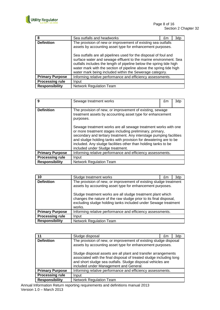

| 8                      | Sea outfalls and headworks                                                                                                                                                                                                                                                                                                                   | £m | 3dp |
|------------------------|----------------------------------------------------------------------------------------------------------------------------------------------------------------------------------------------------------------------------------------------------------------------------------------------------------------------------------------------|----|-----|
| <b>Definition</b>      | The provision of new or improvement of existing sea outfalls<br>assets by accounting asset type for enhancement purposes.                                                                                                                                                                                                                    |    |     |
|                        | Sea outfalls are all pipelines used for the disposal of foul and<br>surface water and sewage effluent to the marine environment. Sea<br>outfalls includes the length of pipeline below the spring tide high<br>water mark with the section of pipeline above the spring tide high<br>water mark being included within the Sewerage category. |    |     |
| <b>Primary Purpose</b> | Informing relative performance and efficiency assessments.                                                                                                                                                                                                                                                                                   |    |     |
| <b>Processing rule</b> | Input                                                                                                                                                                                                                                                                                                                                        |    |     |
| <b>Responsibility</b>  | <b>Network Regulation Team</b>                                                                                                                                                                                                                                                                                                               |    |     |

| 9                      | Sewage treatment works                                                                                                                                                                                                                                                                                                                                                      | £m | 3dp |
|------------------------|-----------------------------------------------------------------------------------------------------------------------------------------------------------------------------------------------------------------------------------------------------------------------------------------------------------------------------------------------------------------------------|----|-----|
| <b>Definition</b>      | The provision of new, or improvement of existing, sewage<br>treatment assets by accounting asset type for enhancement<br>purposes.                                                                                                                                                                                                                                          |    |     |
|                        | Sewage treatment works are all sewage treatment works with one<br>or more treatment stages including preliminary, primary,<br>secondary and tertiary treatment. Any interstage pumping facilities<br>and sludge holding tanks with provision for dewatering are to be<br>included. Any sludge facilities other than holding tanks to be<br>included under Sludge treatment. |    |     |
| <b>Primary Purpose</b> | Informing relative performance and efficiency assessments.                                                                                                                                                                                                                                                                                                                  |    |     |
| <b>Processing rule</b> | Input                                                                                                                                                                                                                                                                                                                                                                       |    |     |
| <b>Responsibility</b>  | <b>Network Regulation Team</b>                                                                                                                                                                                                                                                                                                                                              |    |     |

| 10                     | Sludge treatment works                                                                                                                                                                                                                                                                                                                         | £m | 3dp |
|------------------------|------------------------------------------------------------------------------------------------------------------------------------------------------------------------------------------------------------------------------------------------------------------------------------------------------------------------------------------------|----|-----|
| <b>Definition</b>      | The provision of new, or improvement of existing sludge treatment<br>assets by accounting asset type for enhancement purposes.<br>Sludge treatment works are all sludge treatment plant which<br>changes the nature of the raw sludge prior to its final disposal,<br>excluding sludge holding tanks included under Sewage treatment<br>works. |    |     |
| <b>Primary Purpose</b> | Informing relative performance and efficiency assessments.                                                                                                                                                                                                                                                                                     |    |     |
| <b>Processing rule</b> | Input                                                                                                                                                                                                                                                                                                                                          |    |     |
| <b>Responsibility</b>  | <b>Network Regulation Team</b>                                                                                                                                                                                                                                                                                                                 |    |     |

| 11                     | Sludge disposal                                                                                                                                                                                                                                                                                                                                                                 | £m | 3dp |
|------------------------|---------------------------------------------------------------------------------------------------------------------------------------------------------------------------------------------------------------------------------------------------------------------------------------------------------------------------------------------------------------------------------|----|-----|
| <b>Definition</b>      | The provision of new, or improvement of existing sludge disposal<br>assets by accounting asset type for enhancement purposes.<br>Sludge disposal assets are all plant and transfer arrangements<br>associated with the final disposal of treated sludge including long<br>and short sludge sea outfalls. Sludge disposal vehicles are<br>included under Management and General. |    |     |
| <b>Primary Purpose</b> | Informing relative performance and efficiency assessments.                                                                                                                                                                                                                                                                                                                      |    |     |
| <b>Processing rule</b> | Input                                                                                                                                                                                                                                                                                                                                                                           |    |     |
| <b>Responsibility</b>  | <b>Network Regulation Team</b>                                                                                                                                                                                                                                                                                                                                                  |    |     |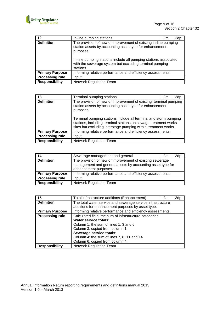

| 12                     | In-line pumping stations                                                                                                                                                                                                                                                            | £m | 3dp |
|------------------------|-------------------------------------------------------------------------------------------------------------------------------------------------------------------------------------------------------------------------------------------------------------------------------------|----|-----|
| <b>Definition</b>      | The provision of new or improvement of existing in-line pumping<br>station assets by accounting asset type for enhancement<br>purposes.<br>In-line pumping stations include all pumping stations associated<br>with the sewerage system but excluding terminal pumping<br>stations. |    |     |
| <b>Primary Purpose</b> | Informing relative performance and efficiency assessments.                                                                                                                                                                                                                          |    |     |
| <b>Processing rule</b> | Input                                                                                                                                                                                                                                                                               |    |     |
| <b>Responsibility</b>  | <b>Network Regulation Team</b>                                                                                                                                                                                                                                                      |    |     |

| 13                     | Terminal pumping stations                                                                                                                                                                             | £m | 3dp |
|------------------------|-------------------------------------------------------------------------------------------------------------------------------------------------------------------------------------------------------|----|-----|
| <b>Definition</b>      | The provision of new or improvement of existing, terminal pumping<br>station assets by accounting asset type for enhancement<br>purposes.                                                             |    |     |
|                        | Terminal pumping stations include all terminal and storm pumping<br>stations, including terminal stations on sewage treatment works<br>sites but excluding interstage pumping within treatment works. |    |     |
| <b>Primary Purpose</b> | Informing relative performance and efficiency assessments.                                                                                                                                            |    |     |
| <b>Processing rule</b> | Input                                                                                                                                                                                                 |    |     |
| <b>Responsibility</b>  | <b>Network Regulation Team</b>                                                                                                                                                                        |    |     |

| 14                     | Sewerage management and general                            | £m | 3dp |
|------------------------|------------------------------------------------------------|----|-----|
| <b>Definition</b>      | The provision of new or improvement of existing sewerage   |    |     |
|                        | management and general assets by accounting asset type for |    |     |
|                        | enhancement purposes.                                      |    |     |
| <b>Primary Purpose</b> | Informing relative performance and efficiency assessments. |    |     |
| <b>Processing rule</b> | Input                                                      |    |     |
| <b>Responsibility</b>  | <b>Network Regulation Team</b>                             |    |     |

| 15                     | Total infrastructure additions (Enhancement)                                                                                                                                                                                                                                  | £m | 3dp |
|------------------------|-------------------------------------------------------------------------------------------------------------------------------------------------------------------------------------------------------------------------------------------------------------------------------|----|-----|
| <b>Definition</b>      | The total water service and sewerage service infrastructure<br>additions for enhancement purposes by asset type.                                                                                                                                                              |    |     |
| <b>Primary Purpose</b> | Informing relative performance and efficiency assessments.                                                                                                                                                                                                                    |    |     |
| <b>Processing rule</b> | Calculated field: the sum of infrastructure categories<br><b>Water service totals:</b><br>Column 1: the sum of lines 1, 3 and 6<br>Column 3: copied from column 1<br>Sewerage service totals:<br>Column 4: the sum of lines 7, 8, 11 and 14<br>Column 6: copied from column 4 |    |     |
| <b>Responsibility</b>  | <b>Network Regulation Team</b>                                                                                                                                                                                                                                                |    |     |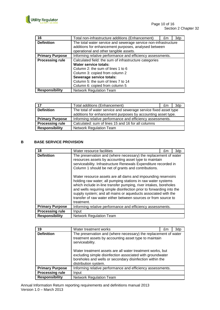

| 16                     | Total non-infrastructure additions (Enhancement)                | £m | 3dp |
|------------------------|-----------------------------------------------------------------|----|-----|
| <b>Definition</b>      | The total water service and sewerage service non-infrastructure |    |     |
|                        | additions for enhancement purposes, analysed between            |    |     |
|                        | operational and other tangible assets.                          |    |     |
| <b>Primary Purpose</b> | Informing relative performance and efficiency assessments.      |    |     |
| <b>Processing rule</b> | Calculated field: the sum of infrastructure categories          |    |     |
|                        | <b>Water service totals:</b>                                    |    |     |
|                        | Column 2: the sum of lines 1 to 6                               |    |     |
|                        | Column 3: copied from column 2                                  |    |     |
|                        | Sewerage service totals:                                        |    |     |
|                        | Column 5: the sum of lines 7 to 14                              |    |     |
|                        | Column 6: copied from column 5                                  |    |     |
| <b>Responsibility</b>  | <b>Network Regulation Team</b>                                  |    |     |

| 17                     | Total additions (Enhancement)                                                                                                    | £m | 3d <sub>p</sub> |
|------------------------|----------------------------------------------------------------------------------------------------------------------------------|----|-----------------|
| <b>Definition</b>      | The total of water service and sewerage service fixed asset type<br>additions for enhancement purposes by accounting asset type. |    |                 |
|                        |                                                                                                                                  |    |                 |
| <b>Primary Purpose</b> | Informing relative performance and efficiency assessments.                                                                       |    |                 |
| <b>Processing rule</b> | Calculated: sum of lines 15 and 16 for all columns                                                                               |    |                 |
| <b>Responsibility</b>  | <b>Network Regulation Team</b>                                                                                                   |    |                 |

## **B BASE SERVICE PROVISION**

| 18                     | Water resource facilities                                                                                                                                                                                                                                                                                                                                                                                                                                                                                                                                                                                                                                         | £m | 3dp |
|------------------------|-------------------------------------------------------------------------------------------------------------------------------------------------------------------------------------------------------------------------------------------------------------------------------------------------------------------------------------------------------------------------------------------------------------------------------------------------------------------------------------------------------------------------------------------------------------------------------------------------------------------------------------------------------------------|----|-----|
| <b>Definition</b>      | The preservation and (where necessary) the replacement of water<br>resources assets by accounting asset type to maintain<br>serviceability. Infrastructure Renewals Expenditure recorded in<br>Column 1 should be net of grants and contributions.<br>Water resource assets are all dams and impounding reservoirs<br>holding raw water; all pumping stations in raw water systems<br>which include in-line transfer pumping, river intakes, boreholes<br>and wells requiring simple disinfection prior to forwarding into the<br>supply system; and all mains or aqueducts associated with the<br>transfer of raw water either between sources or from source to |    |     |
|                        | treatment.                                                                                                                                                                                                                                                                                                                                                                                                                                                                                                                                                                                                                                                        |    |     |
| <b>Primary Purpose</b> | Informing relative performance and efficiency assessments.                                                                                                                                                                                                                                                                                                                                                                                                                                                                                                                                                                                                        |    |     |
| <b>Processing rule</b> | Input                                                                                                                                                                                                                                                                                                                                                                                                                                                                                                                                                                                                                                                             |    |     |
| <b>Responsibility</b>  | <b>Network Regulation Team</b>                                                                                                                                                                                                                                                                                                                                                                                                                                                                                                                                                                                                                                    |    |     |

| 19                     | Water treatment works                                                                                                                                                                                                                                                                                                                                     | £m | 3dp |
|------------------------|-----------------------------------------------------------------------------------------------------------------------------------------------------------------------------------------------------------------------------------------------------------------------------------------------------------------------------------------------------------|----|-----|
| <b>Definition</b>      | The preservation and (where necessary) the replacement of water<br>treatment assets by accounting asset type to maintain<br>serviceability.<br>Water treatment assets are all water treatment works, but<br>excluding simple disinfection associated with groundwater<br>boreholes and wells or secondary disinfection within the<br>distribution system. |    |     |
| <b>Primary Purpose</b> | Informing relative performance and efficiency assessments.                                                                                                                                                                                                                                                                                                |    |     |
| <b>Processing rule</b> | Input                                                                                                                                                                                                                                                                                                                                                     |    |     |
| <b>Responsibility</b>  | Network Regulation Team                                                                                                                                                                                                                                                                                                                                   |    |     |

Annual Information Return reporting requirements and definitions manual 2013 Version 1.0 – March 2013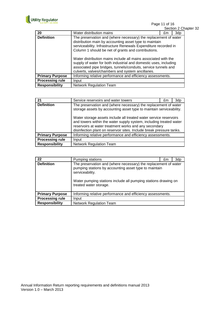

Page 11 of 16

|                        |                                                                                                                                                                                                                                                           |    |     | Section 2 Chapter 32 |
|------------------------|-----------------------------------------------------------------------------------------------------------------------------------------------------------------------------------------------------------------------------------------------------------|----|-----|----------------------|
| 20                     | Water distribution mains                                                                                                                                                                                                                                  | £m | 3dp |                      |
| <b>Definition</b>      | The preservation and (where necessary) the replacement of water<br>distribution main by accounting asset type to maintain<br>serviceability. Infrastructure Renewals Expenditure recorded in<br>Column 1 should be net of grants and contributions.       |    |     |                      |
|                        | Water distribution mains include all mains associated with the<br>supply of water for both industrial and domestic uses, including<br>associated pipe bridges, tunnels/conduits, service tunnels and<br>culverts, valves/chambers and system ancillaries. |    |     |                      |
| <b>Primary Purpose</b> | Informing relative performance and efficiency assessments.                                                                                                                                                                                                |    |     |                      |
| <b>Processing rule</b> | Input                                                                                                                                                                                                                                                     |    |     |                      |
| <b>Responsibility</b>  | <b>Network Regulation Team</b>                                                                                                                                                                                                                            |    |     |                      |

| 21                     | Service reservoirs and water towers                                                                                                                                                                                                                                                                                                                                                                                | £m | 3dp |  |
|------------------------|--------------------------------------------------------------------------------------------------------------------------------------------------------------------------------------------------------------------------------------------------------------------------------------------------------------------------------------------------------------------------------------------------------------------|----|-----|--|
| <b>Definition</b>      | The preservation and (where necessary) the replacement of water<br>storage assets by accounting asset type to maintain serviceability.<br>Water storage assets include all treated water service reservoirs<br>and towers within the water supply system, including treated water<br>reservoirs at water treatment works and any secondary<br>disinfection plant on reservoir sites. Include break pressure tanks. |    |     |  |
| <b>Primary Purpose</b> | Informing relative performance and efficiency assessments.                                                                                                                                                                                                                                                                                                                                                         |    |     |  |
| <b>Processing rule</b> | Input                                                                                                                                                                                                                                                                                                                                                                                                              |    |     |  |
| <b>Responsibility</b>  | <b>Network Regulation Team</b>                                                                                                                                                                                                                                                                                                                                                                                     |    |     |  |

| 22                     | Pumping stations                                                                                                                                                                                                                        | £m | 3dp |
|------------------------|-----------------------------------------------------------------------------------------------------------------------------------------------------------------------------------------------------------------------------------------|----|-----|
| <b>Definition</b>      | The preservation and (where necessary) the replacement of water<br>pumping stations by accounting asset type to maintain<br>serviceability.<br>Water pumping stations include all pumping stations drawing on<br>treated water storage. |    |     |
| <b>Primary Purpose</b> | Informing relative performance and efficiency assessments.                                                                                                                                                                              |    |     |
| <b>Processing rule</b> | Input                                                                                                                                                                                                                                   |    |     |
| <b>Responsibility</b>  | <b>Network Regulation Team</b>                                                                                                                                                                                                          |    |     |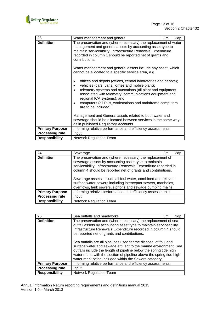

| 23                     | Water management and general                                                                                                                                                                                                                                                                     | £m | 3dp |  |  |
|------------------------|--------------------------------------------------------------------------------------------------------------------------------------------------------------------------------------------------------------------------------------------------------------------------------------------------|----|-----|--|--|
| <b>Definition</b>      | The preservation and (where necessary) the replacement of water<br>management and general assets by accounting asset type to<br>maintain serviceability. Infrastructure Renewals Expenditure<br>recorded in column 1 should be reported net of grants and<br>contributions.                      |    |     |  |  |
|                        | Water management and general assets include any asset, which<br>cannot be allocated to a specific service area, e.g.                                                                                                                                                                             |    |     |  |  |
|                        | offices and depots (offices, central laboratories and depots);<br>٠<br>vehicles (cars, vans, lorries and mobile plant);<br>٠<br>telemetry systems and outstations (all plant and equipment<br>$\bullet$<br>associated with telemetry, communications equipment and<br>regional ICA systems); and |    |     |  |  |
|                        | computers (all PCs, workstations and mainframe computers<br>$\bullet$<br>are to be included).                                                                                                                                                                                                    |    |     |  |  |
|                        | Management and General assets related to both water and<br>sewerage should be allocated between services in the same way<br>as in published Regulatory Accounts.                                                                                                                                 |    |     |  |  |
| <b>Primary Purpose</b> | Informing relative performance and efficiency assessments.                                                                                                                                                                                                                                       |    |     |  |  |
| <b>Processing rule</b> | Input                                                                                                                                                                                                                                                                                            |    |     |  |  |
| <b>Responsibility</b>  | <b>Network Regulation Team</b>                                                                                                                                                                                                                                                                   |    |     |  |  |

| 24                     | Sewerage                                                                                                                                                                                                                                                                                                                                                                              | £m | 3dp |
|------------------------|---------------------------------------------------------------------------------------------------------------------------------------------------------------------------------------------------------------------------------------------------------------------------------------------------------------------------------------------------------------------------------------|----|-----|
| <b>Definition</b>      | The preservation and (where necessary) the replacement of<br>sewerage assets by accounting asset type to maintain<br>serviceability. Infrastructure Renewals Expenditure recorded in<br>column 4 should be reported net of grants and contributions.<br>Sewerage assets include all foul water, combined and relevant<br>surface water sewers including interceptor sewers, manholes, |    |     |
|                        | overflows, tank sewers, siphons and sewage pumping mains.                                                                                                                                                                                                                                                                                                                             |    |     |
| <b>Primary Purpose</b> | Informing relative performance and efficiency assessments.                                                                                                                                                                                                                                                                                                                            |    |     |
| <b>Processing rule</b> | Input                                                                                                                                                                                                                                                                                                                                                                                 |    |     |
| <b>Responsibility</b>  | <b>Network Regulation Team</b>                                                                                                                                                                                                                                                                                                                                                        |    |     |

| 25                     | Sea outfalls and headworks                                                                                                                                                                                                                                                                                                  | £m | 3dp |  |
|------------------------|-----------------------------------------------------------------------------------------------------------------------------------------------------------------------------------------------------------------------------------------------------------------------------------------------------------------------------|----|-----|--|
| <b>Definition</b>      | The preservation and (where necessary) the replacement of sea<br>outfall assets by accounting asset type to maintain serviceability.<br>Infrastructure Renewals Expenditure recorded in column 4 should<br>be reported net of grants and contributions.<br>Sea outfalls are all pipelines used for the disposal of foul and |    |     |  |
|                        | surface water and sewage effluent to the marine environment. Sea<br>outfalls include the length of pipeline below the spring tide high<br>water mark, with the section of pipeline above the spring tide high<br>water mark being included within the Sewers category.                                                      |    |     |  |
| <b>Primary Purpose</b> | Informing relative performance and efficiency assessments.                                                                                                                                                                                                                                                                  |    |     |  |
| <b>Processing rule</b> | Input                                                                                                                                                                                                                                                                                                                       |    |     |  |
| <b>Responsibility</b>  | <b>Network Regulation Team</b>                                                                                                                                                                                                                                                                                              |    |     |  |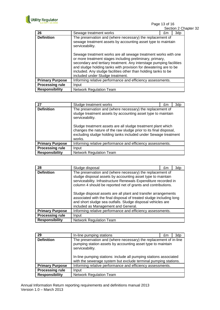

Page 13 of 16

|                        |                                                                                                                                                                                                                                                                                                                                                                             |    |     | Section 2 Chapter 32 |
|------------------------|-----------------------------------------------------------------------------------------------------------------------------------------------------------------------------------------------------------------------------------------------------------------------------------------------------------------------------------------------------------------------------|----|-----|----------------------|
| 26                     | Sewage treatment works                                                                                                                                                                                                                                                                                                                                                      | £m | 3dp |                      |
| <b>Definition</b>      | The preservation and (where necessary) the replacement of<br>sewage treatment assets by accounting asset type to maintain<br>serviceability.                                                                                                                                                                                                                                |    |     |                      |
|                        | Sewage treatment works are all sewage treatment works with one<br>or more treatment stages including preliminary, primary,<br>secondary and tertiary treatment. Any interstage pumping facilities<br>and sludge holding tanks with provision for dewatering are to be<br>included. Any sludge facilities other than holding tanks to be<br>included under Sludge treatment. |    |     |                      |
| <b>Primary Purpose</b> | Informing relative performance and efficiency assessments.                                                                                                                                                                                                                                                                                                                  |    |     |                      |
| <b>Processing rule</b> | Input                                                                                                                                                                                                                                                                                                                                                                       |    |     |                      |
| <b>Responsibility</b>  | <b>Network Regulation Team</b>                                                                                                                                                                                                                                                                                                                                              |    |     |                      |

| 27                     | Sludge treatment works                                                                                                                                                                                                                                                                                                                                        | £m | 3dp |  |
|------------------------|---------------------------------------------------------------------------------------------------------------------------------------------------------------------------------------------------------------------------------------------------------------------------------------------------------------------------------------------------------------|----|-----|--|
| <b>Definition</b>      | The preservation and (where necessary) the replacement of<br>sludge treatment assets by accounting asset type to maintain<br>serviceability.<br>Sludge treatment assets are all sludge treatment plant which<br>changes the nature of the raw sludge prior to its final disposal,<br>excluding sludge holding tanks included under Sewage treatment<br>works. |    |     |  |
| <b>Primary Purpose</b> | Informing relative performance and efficiency assessments.                                                                                                                                                                                                                                                                                                    |    |     |  |
| <b>Processing rule</b> | Input                                                                                                                                                                                                                                                                                                                                                         |    |     |  |
| <b>Responsibility</b>  | <b>Network Regulation Team</b>                                                                                                                                                                                                                                                                                                                                |    |     |  |

| 28                     | Sludge disposal                                                                                                                                                                                                                                                                                                                                                                                                                                                                                            | £m | 3dp |
|------------------------|------------------------------------------------------------------------------------------------------------------------------------------------------------------------------------------------------------------------------------------------------------------------------------------------------------------------------------------------------------------------------------------------------------------------------------------------------------------------------------------------------------|----|-----|
| <b>Definition</b>      | The preservation and (where necessary) the replacement of<br>sludge disposal assets by accounting asset type to maintain<br>serviceability. Infrastructure Renewals Expenditure recorded in<br>column 4 should be reported net of grants and contributions.<br>Sludge disposal assets are all plant and transfer arrangements<br>associated with the final disposal of treated sludge including long<br>and short sludge sea outfalls. Sludge disposal vehicles are<br>included as Management and General. |    |     |
| <b>Primary Purpose</b> | Informing relative performance and efficiency assessments.                                                                                                                                                                                                                                                                                                                                                                                                                                                 |    |     |
| <b>Processing rule</b> | Input                                                                                                                                                                                                                                                                                                                                                                                                                                                                                                      |    |     |
| <b>Responsibility</b>  | <b>Network Regulation Team</b>                                                                                                                                                                                                                                                                                                                                                                                                                                                                             |    |     |

| 29                     | In-line pumping stations                                                                                                                                                                                                                                                                    | £m | 3dp |
|------------------------|---------------------------------------------------------------------------------------------------------------------------------------------------------------------------------------------------------------------------------------------------------------------------------------------|----|-----|
| <b>Definition</b>      | The preservation and (where necessary) the replacement of in-line<br>pumping station assets by accounting asset type to maintain<br>serviceability.<br>In-line pumping stations: include all pumping stations associated<br>with the sewerage system but exclude terminal pumping stations. |    |     |
| <b>Primary Purpose</b> | Informing relative performance and efficiency assessments.                                                                                                                                                                                                                                  |    |     |
| <b>Processing rule</b> | Input                                                                                                                                                                                                                                                                                       |    |     |
| <b>Responsibility</b>  | <b>Network Regulation Team</b>                                                                                                                                                                                                                                                              |    |     |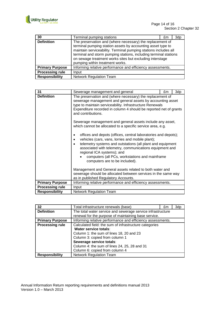

| 30                     | Terminal pumping stations                                                                                                                                                                                                                                                                                                                                      | £m | 3dp |
|------------------------|----------------------------------------------------------------------------------------------------------------------------------------------------------------------------------------------------------------------------------------------------------------------------------------------------------------------------------------------------------------|----|-----|
| <b>Definition</b>      | The preservation and (where necessary) the replacement of<br>terminal pumping station assets by accounting asset type to<br>maintain serviceability. Terminal pumping stations includes all<br>terminal and storm pumping stations, including terminal stations<br>on sewage treatment works sites but excluding interstage<br>pumping within treatment works. |    |     |
| <b>Primary Purpose</b> | Informing relative performance and efficiency assessments.                                                                                                                                                                                                                                                                                                     |    |     |
| <b>Processing rule</b> | Input                                                                                                                                                                                                                                                                                                                                                          |    |     |
| <b>Responsibility</b>  | <b>Network Regulation Team</b>                                                                                                                                                                                                                                                                                                                                 |    |     |

| 31                     | Sewerage management and general                                                                                                                                                                                                                                                                                                                                            | £m | 3dp |  |  |
|------------------------|----------------------------------------------------------------------------------------------------------------------------------------------------------------------------------------------------------------------------------------------------------------------------------------------------------------------------------------------------------------------------|----|-----|--|--|
| <b>Definition</b>      | The preservation and (where necessary) the replacement of<br>sewerage management and general assets by accounting asset<br>type to maintain serviceability. Infrastructure Renewals<br>Expenditure recorded in column 4 should be reported net of grants<br>and contributions.                                                                                             |    |     |  |  |
|                        | Sewerage management and general assets include any asset,<br>which cannot be allocated to a specific service area, e.g.                                                                                                                                                                                                                                                    |    |     |  |  |
|                        | offices and depots (offices, central laboratories and depots);<br>vehicles (cars, vans, lorries and mobile plant);<br>$\bullet$<br>telemetry systems and outstations (all plant and equipment<br>associated with telemetry, communications equipment and<br>regional ICA systems); and<br>computers (all PCs, workstations and mainframe<br>computers are to be included). |    |     |  |  |
|                        | Management and General assets related to both water and<br>sewerage should be allocated between services in the same way<br>as in published Regulatory Accounts.                                                                                                                                                                                                           |    |     |  |  |
| <b>Primary Purpose</b> | Informing relative performance and efficiency assessments.                                                                                                                                                                                                                                                                                                                 |    |     |  |  |
| <b>Processing rule</b> | Input                                                                                                                                                                                                                                                                                                                                                                      |    |     |  |  |
| <b>Responsibility</b>  | <b>Network Regulation Team</b>                                                                                                                                                                                                                                                                                                                                             |    |     |  |  |

| 32                     | Total infrastructure renewals (base)                                                                                                                                                                                                                                        | £m | 3dp |
|------------------------|-----------------------------------------------------------------------------------------------------------------------------------------------------------------------------------------------------------------------------------------------------------------------------|----|-----|
| <b>Definition</b>      | The total water service and sewerage service infrastructure<br>renewal for the purpose of maintaining base service.                                                                                                                                                         |    |     |
| <b>Primary Purpose</b> | Informing relative performance and efficiency assessments.                                                                                                                                                                                                                  |    |     |
| <b>Processing rule</b> | Calculated field: the sum of infrastructure categories<br>Water service totals:<br>Column 1: the sum of lines 18, 20 and 23<br>Column 3: copied from column 1<br>Sewerage service totals:<br>Column 4: the sum of lines 24, 25, 28 and 31<br>Column 6: copied from column 4 |    |     |
| Responsibility         | <b>Network Regulation Team</b>                                                                                                                                                                                                                                              |    |     |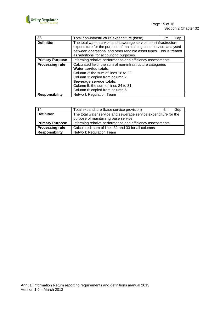

| 33                     | Total non-infrastructure expenditure (base)                                                                                                                                                                                                                       | £m | 3dp |
|------------------------|-------------------------------------------------------------------------------------------------------------------------------------------------------------------------------------------------------------------------------------------------------------------|----|-----|
| <b>Definition</b>      | The total water service and sewerage service non-infrastructure<br>expenditure for the purpose of maintaining base service, analysed<br>between operational and other tangible asset types. This is treated                                                       |    |     |
|                        | as 'additions' for accounting purposes.                                                                                                                                                                                                                           |    |     |
| <b>Primary Purpose</b> | Informing relative performance and efficiency assessments.                                                                                                                                                                                                        |    |     |
| <b>Processing rule</b> | Calculated field: the sum of non-infrastructure categories<br>Water service totals:<br>Column 2: the sum of lines 18 to 23<br>Column 3: copied from column 2<br>Sewerage service totals:<br>Column 5: the sum of lines 24 to 31<br>Column 6: copied from column 5 |    |     |
| <b>Responsibility</b>  | <b>Network Regulation Team</b>                                                                                                                                                                                                                                    |    |     |

| 34                     | Total expenditure (base service provision)                       | £m | 3dp |
|------------------------|------------------------------------------------------------------|----|-----|
| <b>Definition</b>      | The total water service and sewerage service expenditure for the |    |     |
|                        | purpose of maintaining base service.                             |    |     |
| <b>Primary Purpose</b> | Informing relative performance and efficiency assessments.       |    |     |
| <b>Processing rule</b> | Calculated: sum of lines 32 and 33 for all columns               |    |     |
| <b>Responsibility</b>  | <b>Network Regulation Team</b>                                   |    |     |